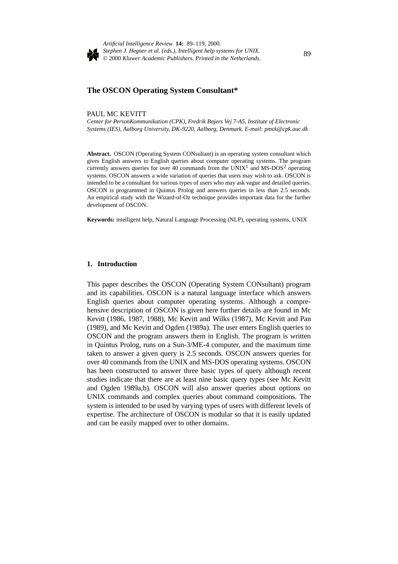

*Artificial Intelligence Review* **14:** 89–119, 2000. *Stephen J. Hegner et al. (eds.), Intelligent help systems for UNIX.* © 2000 *Kluwer Academic Publishers. Printed in the Netherlands*. <sup>89</sup>

# **The OSCON Operating System Consultant\***

#### PAUL MC KEVITT

*Center for PersonKommunikation (CPK), Fredrik Bajers Vej 7-A5, Institute of Electronic Systems (IES), Aalborg University, DK-9220, Aalborg, Denmark. E-mail: pmck@cpk.auc.dk*

**Abstract.** OSCON (Operating System CONsultant) is an operating system consultant which gives English answers to English queries about computer operating systems. The program currently answers queries for over 40 commands from the  $UNIX<sup>1</sup>$  and MS-DOS<sup>2</sup> operating systems. OSCON answers a wide variation of queries that users may wish to ask. OSCON is intended to be a consultant for various types of users who may ask vague and detailed queries. OSCON is programmed in Quintus Prolog and answers queries in less than 2.5 seconds. An empirical study with the Wizard-of-Oz technique provides important data for the further development of OSCON.

**Keywords:** intelligent help, Natural Language Processing (NLP), operating systems, UNIX

## **1. Introduction**

This paper describes the OSCON (Operating System CONsultant) program and its capabilities. OSCON is a natural language interface which answers English queries about computer operating systems. Although a comprehensive description of OSCON is given here further details are found in Mc Kevitt (1986, 1987, 1988), Mc Kevitt and Wilks (1987), Mc Kevitt and Pan (1989), and Mc Kevitt and Ogden (1989a). The user enters English queries to OSCON and the program answers them in English. The program is written in Quintus Prolog, runs on a Sun-3/ME-4 computer, and the maximum time taken to answer a given query is 2.5 seconds. OSCON answers queries for over 40 commands from the UNIX and MS-DOS operating systems. OSCON has been constructed to answer three basic types of query although recent studies indicate that there are at least nine basic query types (see Mc Kevitt and Ogden 1989a,b). OSCON will also answer queries about options on UNIX commands and complex queries about command compositions. The system is intended to be used by varying types of users with different levels of expertise. The architecture of OSCON is modular so that it is easily updated and can be easily mapped over to other domains.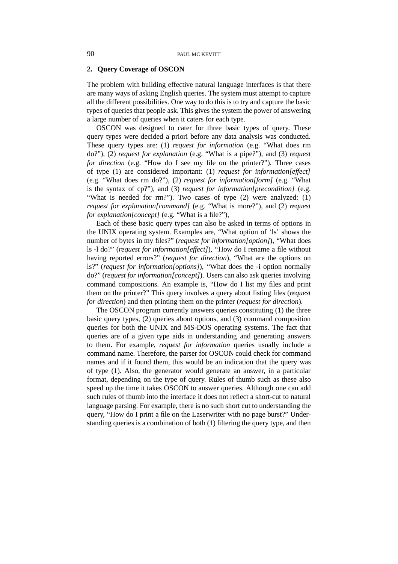## **2. Query Coverage of OSCON**

The problem with building effective natural language interfaces is that there are many ways of asking English queries. The system must attempt to capture all the different possibilities. One way to do this is to try and capture the basic types of queries that people ask. This gives the system the power of answering a large number of queries when it caters for each type.

OSCON was designed to cater for three basic types of query. These query types were decided a priori before any data analysis was conducted. These query types are: (1) *request for information* (e.g. "What does rm do?"), (2) *request for explanation* (e.g. "What is a pipe?"), and (3) *request for direction* (e.g. "How do I see my file on the printer?"). Three cases of type (1) are considered important: (1) *request for information[effect]* (e.g. "What does rm do?"), (2) *request for information[form]* (e.g. "What is the syntax of cp?"), and (3) *request for information[precondition]* (e.g. "What is needed for rm?"). Two cases of type (2) were analyzed: (1) *request for explanation[command]* (e.g. "What is more?"), and (2) *request for explanation[concept]* (e.g. "What is a file?"),

Each of these basic query types can also be asked in terms of options in the UNIX operating system. Examples are, "What option of 'ls' shows the number of bytes in my files?" (*request for information[option]*), "What does ls -l do?" (*request for information[effect]*), "How do I rename a file without having reported errors?" (*request for direction*), "What are the options on ls?" (*request for information[options]*), "What does the -i option normally do?" (*request for information[concept]*). Users can also ask queries involving command compositions. An example is, "How do I list my files and print them on the printer?" This query involves a query about listing files (*request for direction*) and then printing them on the printer (*request for direction*).

The OSCON program currently answers queries constituting (1) the three basic query types, (2) queries about options, and (3) command composition queries for both the UNIX and MS-DOS operating systems. The fact that queries are of a given type aids in understanding and generating answers to them. For example, *request for information* queries usually include a command name. Therefore, the parser for OSCON could check for command names and if it found them, this would be an indication that the query was of type (1). Also, the generator would generate an answer, in a particular format, depending on the type of query. Rules of thumb such as these also speed up the time it takes OSCON to answer queries. Although one can add such rules of thumb into the interface it does not reflect a short-cut to natural language parsing. For example, there is no such short cut to understanding the query, "How do I print a file on the Laserwriter with no page burst?" Understanding queries is a combination of both (1) filtering the query type, and then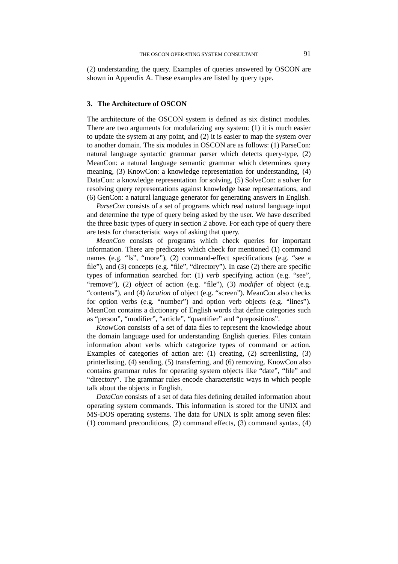(2) understanding the query. Examples of queries answered by OSCON are shown in Appendix A. These examples are listed by query type.

## **3. The Architecture of OSCON**

The architecture of the OSCON system is defined as six distinct modules. There are two arguments for modularizing any system: (1) it is much easier to update the system at any point, and (2) it is easier to map the system over to another domain. The six modules in OSCON are as follows: (1) ParseCon: natural language syntactic grammar parser which detects query-type, (2) MeanCon: a natural language semantic grammar which determines query meaning, (3) KnowCon: a knowledge representation for understanding, (4) DataCon: a knowledge representation for solving, (5) SolveCon: a solver for resolving query representations against knowledge base representations, and (6) GenCon: a natural language generator for generating answers in English.

*ParseCon* consists of a set of programs which read natural language input and determine the type of query being asked by the user. We have described the three basic types of query in section 2 above. For each type of query there are tests for characteristic ways of asking that query.

*MeanCon* consists of programs which check queries for important information. There are predicates which check for mentioned (1) command names (e.g. "ls", "more"), (2) command-effect specifications (e.g. "see a file"), and (3) concepts (e.g. "file", "directory"). In case (2) there are specific types of information searched for: (1) *verb* specifying action (e.g. "see", "remove"), (2) *object* of action (e.g. "file"), (3) *modifier* of object (e.g. "contents"), and (4) *location* of object (e.g. "screen"). MeanCon also checks for option verbs (e.g. "number") and option verb objects (e.g. "lines"). MeanCon contains a dictionary of English words that define categories such as "person", "modifier", "article", "quantifier" and "prepositions".

*KnowCon* consists of a set of data files to represent the knowledge about the domain language used for understanding English queries. Files contain information about verbs which categorize types of command or action. Examples of categories of action are: (1) creating, (2) screenlisting, (3) printerlisting, (4) sending, (5) transferring, and (6) removing. KnowCon also contains grammar rules for operating system objects like "date", "file" and "directory". The grammar rules encode characteristic ways in which people talk about the objects in English.

*DataCon* consists of a set of data files defining detailed information about operating system commands. This information is stored for the UNIX and MS-DOS operating systems. The data for UNIX is split among seven files: (1) command preconditions, (2) command effects, (3) command syntax, (4)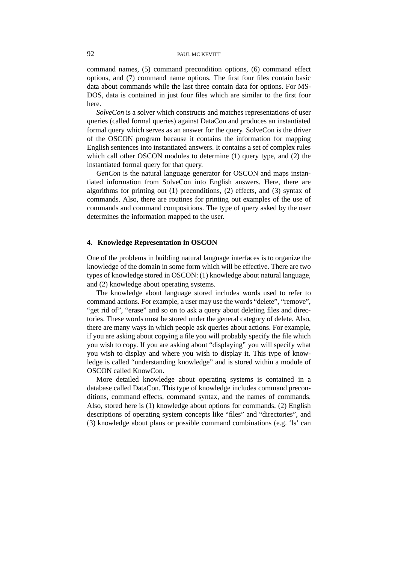command names, (5) command precondition options, (6) command effect options, and (7) command name options. The first four files contain basic data about commands while the last three contain data for options. For MS-DOS, data is contained in just four files which are similar to the first four here.

*SolveCon* is a solver which constructs and matches representations of user queries (called formal queries) against DataCon and produces an instantiated formal query which serves as an answer for the query. SolveCon is the driver of the OSCON program because it contains the information for mapping English sentences into instantiated answers. It contains a set of complex rules which call other OSCON modules to determine (1) query type, and (2) the instantiated formal query for that query.

*GenCon* is the natural language generator for OSCON and maps instantiated information from SolveCon into English answers. Here, there are algorithms for printing out (1) preconditions, (2) effects, and (3) syntax of commands. Also, there are routines for printing out examples of the use of commands and command compositions. The type of query asked by the user determines the information mapped to the user.

## **4. Knowledge Representation in OSCON**

One of the problems in building natural language interfaces is to organize the knowledge of the domain in some form which will be effective. There are two types of knowledge stored in OSCON: (1) knowledge about natural language, and (2) knowledge about operating systems.

The knowledge about language stored includes words used to refer to command actions. For example, a user may use the words "delete", "remove", "get rid of", "erase" and so on to ask a query about deleting files and directories. These words must be stored under the general category of delete. Also, there are many ways in which people ask queries about actions. For example, if you are asking about copying a file you will probably specify the file which you wish to copy. If you are asking about "displaying" you will specify what you wish to display and where you wish to display it. This type of knowledge is called "understanding knowledge" and is stored within a module of OSCON called KnowCon.

More detailed knowledge about operating systems is contained in a database called DataCon. This type of knowledge includes command preconditions, command effects, command syntax, and the names of commands. Also, stored here is (1) knowledge about options for commands, (2) English descriptions of operating system concepts like "files" and "directories", and (3) knowledge about plans or possible command combinations (e.g. 'ls' can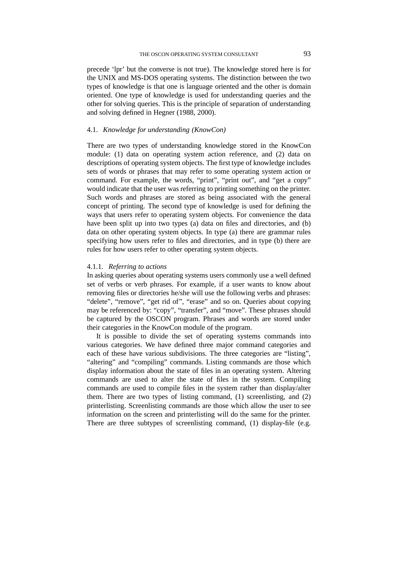precede 'lpr' but the converse is not true). The knowledge stored here is for the UNIX and MS-DOS operating systems. The distinction between the two types of knowledge is that one is language oriented and the other is domain oriented. One type of knowledge is used for understanding queries and the other for solving queries. This is the principle of separation of understanding and solving defined in Hegner (1988, 2000).

## 4.1. *Knowledge for understanding (KnowCon)*

There are two types of understanding knowledge stored in the KnowCon module: (1) data on operating system action reference, and (2) data on descriptions of operating system objects. The first type of knowledge includes sets of words or phrases that may refer to some operating system action or command. For example, the words, "print", "print out", and "get a copy" would indicate that the user was referring to printing something on the printer. Such words and phrases are stored as being associated with the general concept of printing. The second type of knowledge is used for defining the ways that users refer to operating system objects. For convenience the data have been split up into two types (a) data on files and directories, and (b) data on other operating system objects. In type (a) there are grammar rules specifying how users refer to files and directories, and in type (b) there are rules for how users refer to other operating system objects.

## 4.1.1. *Referring to actions*

In asking queries about operating systems users commonly use a well defined set of verbs or verb phrases. For example, if a user wants to know about removing files or directories he/she will use the following verbs and phrases: "delete", "remove", "get rid of", "erase" and so on. Queries about copying may be referenced by: "copy", "transfer", and "move". These phrases should be captured by the OSCON program. Phrases and words are stored under their categories in the KnowCon module of the program.

It is possible to divide the set of operating systems commands into various categories. We have defined three major command categories and each of these have various subdivisions. The three categories are "listing", "altering" and "compiling" commands. Listing commands are those which display information about the state of files in an operating system. Altering commands are used to alter the state of files in the system. Compiling commands are used to compile files in the system rather than display/alter them. There are two types of listing command, (1) screenlisting, and (2) printerlisting. Screenlisting commands are those which allow the user to see information on the screen and printerlisting will do the same for the printer. There are three subtypes of screenlisting command, (1) display-file (e.g.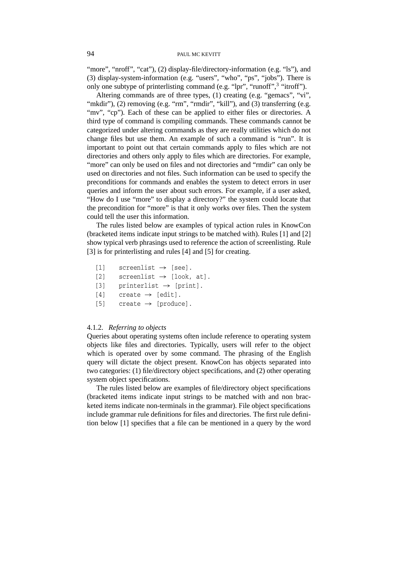"more", "nroff", "cat"), (2) display-file/directory-information (e.g. "ls"), and (3) display-system-information (e.g. "users", "who", "ps", "jobs"). There is only one subtype of printerlisting command (e.g. "lpr", "runoff",3 "itroff").

Altering commands are of three types, (1) creating (e.g. "gemacs", "vi", "mkdir"), (2) removing (e.g. "rm", "rmdir", "kill"), and (3) transferring (e.g. "mv", "cp"). Each of these can be applied to either files or directories. A third type of command is compiling commands. These commands cannot be categorized under altering commands as they are really utilities which do not change files but use them. An example of such a command is "run". It is important to point out that certain commands apply to files which are not directories and others only apply to files which are directories. For example, "more" can only be used on files and not directories and "rmdir" can only be used on directories and not files. Such information can be used to specify the preconditions for commands and enables the system to detect errors in user queries and inform the user about such errors. For example, if a user asked, "How do I use "more" to display a directory?" the system could locate that the precondition for "more" is that it only works over files. Then the system could tell the user this information.

The rules listed below are examples of typical action rules in KnowCon (bracketed items indicate input strings to be matched with). Rules [1] and [2] show typical verb phrasings used to reference the action of screenlisting. Rule [3] is for printerlisting and rules [4] and [5] for creating.

```
[1] screenlist \rightarrow [see].<br>[2] screenlist \rightarrow [look,
[2] screenlist \rightarrow [look, at].<br>[3] printerlist \rightarrow [print].
             printerlist \rightarrow [print].
[4] create \rightarrow [edit].<br>[5] create \rightarrow [produc
             create \rightarrow [produce].
```
# 4.1.2. *Referring to objects*

Queries about operating systems often include reference to operating system objects like files and directories. Typically, users will refer to the object which is operated over by some command. The phrasing of the English query will dictate the object present. KnowCon has objects separated into two categories: (1) file/directory object specifications, and (2) other operating system object specifications.

The rules listed below are examples of file/directory object specifications (bracketed items indicate input strings to be matched with and non bracketed items indicate non-terminals in the grammar). File object specifications include grammar rule definitions for files and directories. The first rule definition below [1] specifies that a file can be mentioned in a query by the word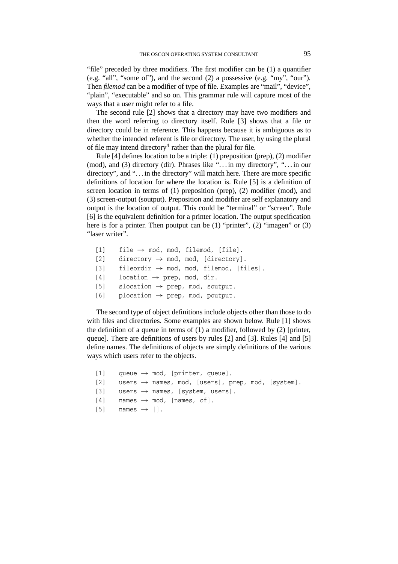"file" preceded by three modifiers. The first modifier can be (1) a quantifier (e.g. "all", "some of"), and the second (2) a possessive (e.g. "my", "our"). Then *filemod* can be a modifier of type of file. Examples are "mail", "device", "plain", "executable" and so on. This grammar rule will capture most of the ways that a user might refer to a file.

The second rule [2] shows that a directory may have two modifiers and then the word referring to directory itself. Rule [3] shows that a file or directory could be in reference. This happens because it is ambiguous as to whether the intended referent is file or directory. The user, by using the plural of file may intend directory<sup>4</sup> rather than the plural for file.

Rule [4] defines location to be a triple: (1) preposition (prep), (2) modifier (mod), and (3) directory (dir). Phrases like "... in my directory", "... in our directory", and "... in the directory" will match here. There are more specific definitions of location for where the location is. Rule [5] is a definition of screen location in terms of (1) preposition (prep), (2) modifier (mod), and (3) screen-output (soutput). Preposition and modifier are self explanatory and output is the location of output. This could be "terminal" or "screen". Rule [6] is the equivalent definition for a printer location. The output specification here is for a printer. Then poutput can be (1) "printer", (2) "imagen" or (3) "laser writer".

```
[1] file \rightarrow mod, mod, filemod, [file].<br>[2] directory \rightarrow mod, mod, [directory]
[2] directory \rightarrow mod, mod, [directory].<br>[3] fileordir \rightarrow mod, mod, filemod, [fi
[3] fileordir \rightarrow mod, mod, filemod, [files].<br>[4] location \rightarrow prep. mod. dir.
[4] location \rightarrow prep, mod, dir.<br>[5] slocation \rightarrow prep. mod, sou
[5] slocation \rightarrow prep, mod, soutput.<br>[6] plocation \rightarrow prep, mod, poutput.
              plocation \rightarrow prep, mod, poutput.
```
The second type of object definitions include objects other than those to do with files and directories. Some examples are shown below. Rule [1] shows the definition of a queue in terms of (1) a modifier, followed by (2) [printer, queue]. There are definitions of users by rules [2] and [3]. Rules [4] and [5] define names. The definitions of objects are simply definitions of the various ways which users refer to the objects.

```
[1] queue \rightarrow mod, [printer, queue].<br>[2] users \rightarrow names, mod, [users], p
[2] users \rightarrow names, mod, [users], prep, mod, [system].<br>[3] users \rightarrow names, [system, users].
[3] users \rightarrow names, [system, users].<br>[4] names \rightarrow mod, [names, of].
[4] names \rightarrow mod, [names, of].<br>[5] names \rightarrow [1.
             names \rightarrow [].
```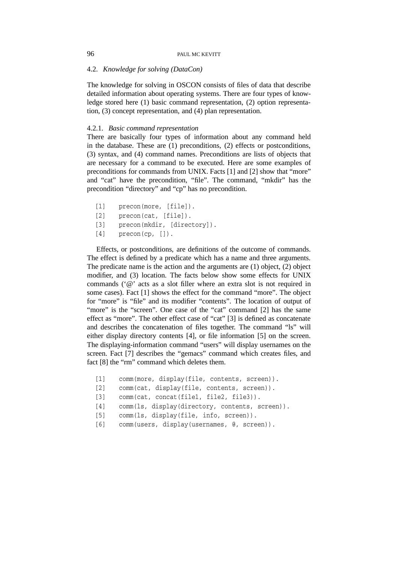## 4.2. *Knowledge for solving (DataCon)*

The knowledge for solving in OSCON consists of files of data that describe detailed information about operating systems. There are four types of knowledge stored here (1) basic command representation, (2) option representation, (3) concept representation, and (4) plan representation.

#### 4.2.1. *Basic command representation*

There are basically four types of information about any command held in the database. These are (1) preconditions, (2) effects or postconditions, (3) syntax, and (4) command names. Preconditions are lists of objects that are necessary for a command to be executed. Here are some examples of preconditions for commands from UNIX. Facts [1] and [2] show that "more" and "cat" have the precondition, "file". The command, "mkdir" has the precondition "directory" and "cp" has no precondition.

- [1] precon(more, [file]).
- [2] precon(cat, [file]).
- [3] precon(mkdir, [directory]).
- $[4]$  precon(cp,  $[$ ]).

Effects, or postconditions, are definitions of the outcome of commands. The effect is defined by a predicate which has a name and three arguments. The predicate name is the action and the arguments are (1) object, (2) object modifier, and (3) location. The facts below show some effects for UNIX commands ('@' acts as a slot filler where an extra slot is not required in some cases). Fact [1] shows the effect for the command "more". The object for "more" is "file" and its modifier "contents". The location of output of "more" is the "screen". One case of the "cat" command [2] has the same effect as "more". The other effect case of "cat" [3] is defined as concatenate and describes the concatenation of files together. The command "ls" will either display directory contents [4], or file information [5] on the screen. The displaying-information command "users" will display usernames on the screen. Fact [7] describes the "gemacs" command which creates files, and fact [8] the "rm" command which deletes them.

```
[1] comm(more, display(file, contents, screen)).
[2] comm(cat, display(file, contents, screen)).
[3] comm(cat, concat(file1, file2, file3)).
[4] comm(ls, display(directory, contents, screen)).
[5] comm(ls, display(file, info, screen)).
[6] comm(users, display(usernames, @, screen)).
```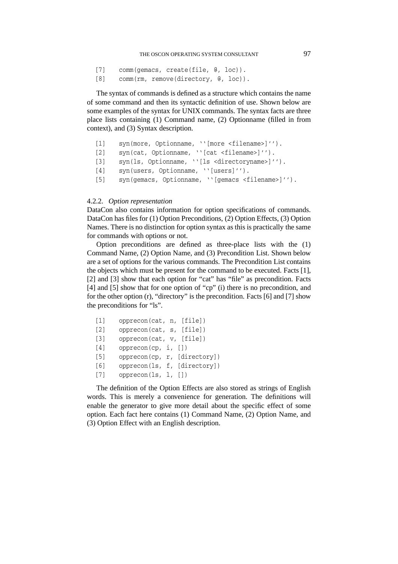```
[7] comm(gemacs, create(file, \theta, loc)).
[8] comm(rm, remove(directory, @, loc)).
```
The syntax of commands is defined as a structure which contains the name of some command and then its syntactic definition of use. Shown below are some examples of the syntax for UNIX commands. The syntax facts are three place lists containing (1) Command name, (2) Optionname (filled in from context), and (3) Syntax description.

```
[1] syn(more, Optionname, ''[more <filename>]'').
[2] syn(cat, Optionname, ''[cat <filename>]'').
[3] syn(ls, Optionname, ''[ls <directoryname>]'').
[4] syn(users, Optionname, ''[users]'').
[5] syn(gemacs, Optionname, ''[gemacs <filename>]'').
```
## 4.2.2. *Option representation*

DataCon also contains information for option specifications of commands. DataCon has files for (1) Option Preconditions, (2) Option Effects, (3) Option Names. There is no distinction for option syntax as this is practically the same for commands with options or not.

Option preconditions are defined as three-place lists with the (1) Command Name, (2) Option Name, and (3) Precondition List. Shown below are a set of options for the various commands. The Precondition List contains the objects which must be present for the command to be executed. Facts [1], [2] and [3] show that each option for "cat" has "file" as precondition. Facts [4] and [5] show that for one option of "cp" (i) there is no precondition, and for the other option  $(r)$ , "directory" is the precondition. Facts  $[6]$  and  $[7]$  show the preconditions for "ls".

| $[1]$             | opprecon(cat, n, [file])     |
|-------------------|------------------------------|
| $\lceil 2 \rceil$ | opprecon(cat, s, [file])     |
| $[3]$             | opprecon(cat, v, [file])     |
| [4]               | opprecon(cp, i, []           |
| [5]               | opprecon(cp, r, [directory]) |
| [6]               | opprecon(ls, f, [directory]) |
| [7]               | opprecon $(1s, 1, []$        |

The definition of the Option Effects are also stored as strings of English words. This is merely a convenience for generation. The definitions will enable the generator to give more detail about the specific effect of some option. Each fact here contains (1) Command Name, (2) Option Name, and (3) Option Effect with an English description.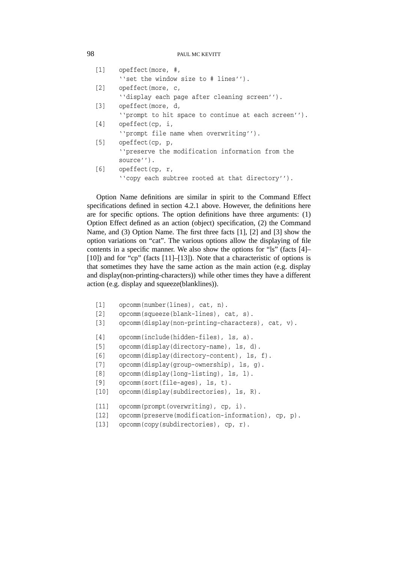| $\lceil 1 \rceil$ | opeffect(more, #,                                   |
|-------------------|-----------------------------------------------------|
|                   | ''set the window size to # lines'').                |
| $\lceil 2 \rceil$ | opeffect(more, c,                                   |
|                   | "display each page after cleaning screen'').        |
| $\lceil 3 \rceil$ | opeffect(more, d,                                   |
|                   | "prompt to hit space to continue at each screen''). |
| $\lceil 4 \rceil$ | opeffect(cp, i,                                     |
|                   | ''prompt file name when overwriting'').             |
| $\lceil 5 \rceil$ | opeffect(cp, p,                                     |
|                   | "preserve the modification information from the     |
|                   | source'').                                          |
| [6]               | opeffect(cp, r,                                     |
|                   | "copy each subtree rooted at that directory").      |

Option Name definitions are similar in spirit to the Command Effect specifications defined in section 4.2.1 above. However, the definitions here are for specific options. The option definitions have three arguments: (1) Option Effect defined as an action (object) specification, (2) the Command Name, and (3) Option Name. The first three facts [1], [2] and [3] show the option variations on "cat". The various options allow the displaying of file contents in a specific manner. We also show the options for "ls" (facts [4]– [10]) and for "cp" (facts [11]–[13]). Note that a characteristic of options is that sometimes they have the same action as the main action (e.g. display and display(non-printing-characters)) while other times they have a different action (e.g. display and squeeze(blanklines)).

```
[1] opcomm(number(lines), cat, n).
[2] opcomm(squeeze(blank-lines), cat, s).
[3] opcomm(display(non-printing-characters), cat, v).
[4] opcomm(include(hidden-files), ls, a).
[5] opcomm(display(directory-name), ls, d).
[6] opcomm(display(directory-content), ls, f).
[7] opcomm(display(group-ownership), ls, q).
[8] opcomm(display(long-listing), ls, l).
[9] opcomm(sort(file-ages), ls, t).
[10] opcomm(display(subdirectories), ls, R).
[11] opcomm(prompt(overwriting), cp, i).
[12] opcomm(preserve(modification-information), cp, p).
```
[13] opcomm(copy(subdirectories), cp, r).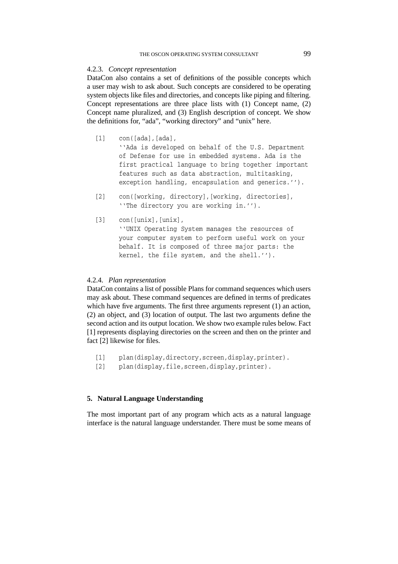#### 4.2.3. *Concept representation*

DataCon also contains a set of definitions of the possible concepts which a user may wish to ask about. Such concepts are considered to be operating system objects like files and directories, and concepts like piping and filtering. Concept representations are three place lists with (1) Concept name, (2) Concept name pluralized, and (3) English description of concept. We show the definitions for, "ada", "working directory" and "unix" here.

- [1] con([ada], [ada], ''Ada is developed on behalf of the U.S. Department of Defense for use in embedded systems. Ada is the first practical language to bring together important features such as data abstraction, multitasking, exception handling, encapsulation and generics.'').
- [2] con([working, directory],[working, directories], ''The directory you are working in.'').
- [3] con([unix],[unix], ''UNIX Operating System manages the resources of your computer system to perform useful work on your behalf. It is composed of three major parts: the kernel, the file system, and the shell.'').

#### 4.2.4. *Plan representation*

DataCon contains a list of possible Plans for command sequences which users may ask about. These command sequences are defined in terms of predicates which have five arguments. The first three arguments represent (1) an action, (2) an object, and (3) location of output. The last two arguments define the second action and its output location. We show two example rules below. Fact [1] represents displaying directories on the screen and then on the printer and fact [2] likewise for files.

[1] plan(display,directory, screen,display, printer). [2] plan(display, file, screen, display, printer).

# **5. Natural Language Understanding**

The most important part of any program which acts as a natural language interface is the natural language understander. There must be some means of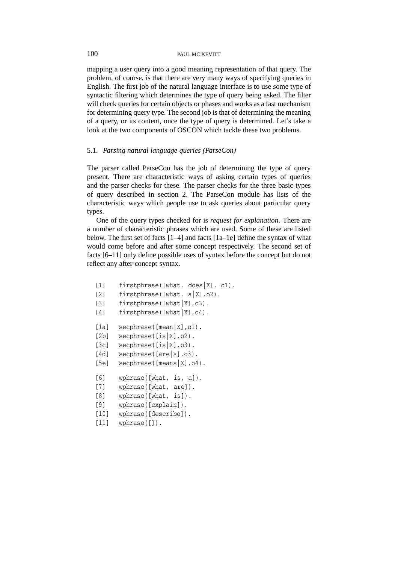mapping a user query into a good meaning representation of that query. The problem, of course, is that there are very many ways of specifying queries in English. The first job of the natural language interface is to use some type of syntactic filtering which determines the type of query being asked. The filter will check queries for certain objects or phases and works as a fast mechanism for determining query type. The second job is that of determining the meaning of a query, or its content, once the type of query is determined. Let's take a look at the two components of OSCON which tackle these two problems.

## 5.1. *Parsing natural language queries (ParseCon)*

The parser called ParseCon has the job of determining the type of query present. There are characteristic ways of asking certain types of queries and the parser checks for these. The parser checks for the three basic types of query described in section 2. The ParseCon module has lists of the characteristic ways which people use to ask queries about particular query types.

One of the query types checked for is *request for explanation*. There are a number of characteristic phrases which are used. Some of these are listed below. The first set of facts [1–4] and facts [1a–1e] define the syntax of what would come before and after some concept respectively. The second set of facts [6–11] only define possible uses of syntax before the concept but do not reflect any after-concept syntax.

```
[1] firstphrase([what, does<sup>[X]</sup>, o1).
[2] firstphrase([what, a|X], o2).
[3] firstphrase([what|X],o3).
[4] firstphrase([what |X], 04).
[1a] secphrase([mean|X], o1).
[2b] secphrase([is|X],o2).
[3c] secphrase([is|X],o3).
[4d] secphrase([are|X], 03).
[5e] secphrase([means|X], o4).
[6] wphrase([what, is, a]).
[7] wphrase([what, are]).
[8] wphrase([what, is]).
[9] wphrase([explain]).
[10] wphrase([describe]).
[11] wphrase([]).
```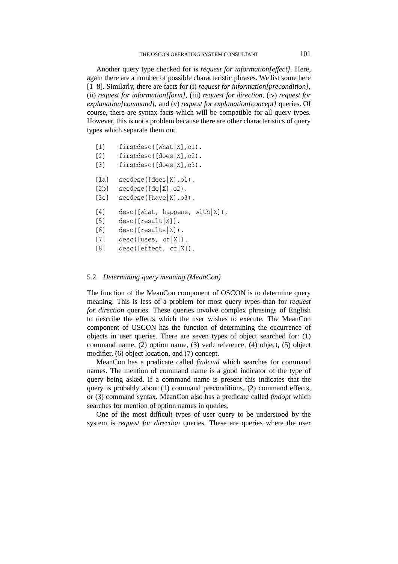Another query type checked for is *request for information[effect]*. Here, again there are a number of possible characteristic phrases. We list some here [1–8]. Similarly, there are facts for (i) *request for information[precondition]*, (ii) *request for information[form]*, (iii) *request for direction*, (iv) *request for explanation[command]*, and (v) *request for explanation[concept]* queries. Of course, there are syntax facts which will be compatible for all query types. However, this is not a problem because there are other characteristics of query types which separate them out.

```
[1] firstdesc([What|X], 01).
[2] firstdesc([does |X], o2).
[3] firstdesc([does<sup>[X]</sup>,03).
[1a] secdesc([does |X], 01).
[2b] secdesc([do|X], o2).
[3c] secdesc([\text{have} |X|, 03].
[4] desc([what, happens, with[X]).
[5] desc([result|X]).
[6] desc([results|X]).
[7] desc([uses, of [X]].
[8] desc([effect, of |X|).
```
## 5.2. *Determining query meaning (MeanCon)*

The function of the MeanCon component of OSCON is to determine query meaning. This is less of a problem for most query types than for *request for direction* queries. These queries involve complex phrasings of English to describe the effects which the user wishes to execute. The MeanCon component of OSCON has the function of determining the occurrence of objects in user queries. There are seven types of object searched for: (1) command name, (2) option name, (3) verb reference, (4) object, (5) object modifier, (6) object location, and (7) concept.

MeanCon has a predicate called *findcmd* which searches for command names. The mention of command name is a good indicator of the type of query being asked. If a command name is present this indicates that the query is probably about (1) command preconditions, (2) command effects, or (3) command syntax. MeanCon also has a predicate called *findopt* which searches for mention of option names in queries.

One of the most difficult types of user query to be understood by the system is *request for direction* queries. These are queries where the user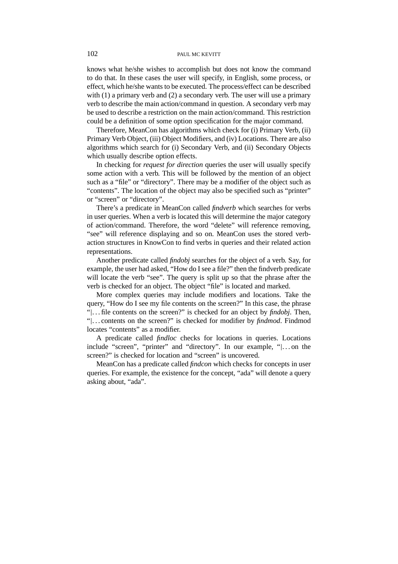knows what he/she wishes to accomplish but does not know the command to do that. In these cases the user will specify, in English, some process, or effect, which he/she wants to be executed. The process/effect can be described with (1) a primary verb and (2) a secondary verb. The user will use a primary verb to describe the main action/command in question. A secondary verb may be used to describe a restriction on the main action/command. This restriction could be a definition of some option specification for the major command.

Therefore, MeanCon has algorithms which check for (i) Primary Verb, (ii) Primary Verb Object, (iii) Object Modifiers, and (iv) Locations. There are also algorithms which search for (i) Secondary Verb, and (ii) Secondary Objects which usually describe option effects.

In checking for *request for direction* queries the user will usually specify some action with a verb. This will be followed by the mention of an object such as a "file" or "directory". There may be a modifier of the object such as "contents". The location of the object may also be specified such as "printer" or "screen" or "directory".

There's a predicate in MeanCon called *findverb* which searches for verbs in user queries. When a verb is located this will determine the major category of action/command. Therefore, the word "delete" will reference removing, "see" will reference displaying and so on. MeanCon uses the stored verbaction structures in KnowCon to find verbs in queries and their related action representations.

Another predicate called *findobj* searches for the object of a verb. Say, for example, the user had asked, "How do I see a file?" then the findverb predicate will locate the verb "see". The query is split up so that the phrase after the verb is checked for an object. The object "file" is located and marked.

More complex queries may include modifiers and locations. Take the query, "How do I see my file contents on the screen?" In this case, the phrase "|. . . file contents on the screen?" is checked for an object by *findobj*. Then, "|. . . contents on the screen?" is checked for modifier by *findmod*. Findmod locates "contents" as a modifier.

A predicate called *findloc* checks for locations in queries. Locations include "screen", "printer" and "directory". In our example, "...on the screen?" is checked for location and "screen" is uncovered.

MeanCon has a predicate called *findcon* which checks for concepts in user queries. For example, the existence for the concept, "ada" will denote a query asking about, "ada".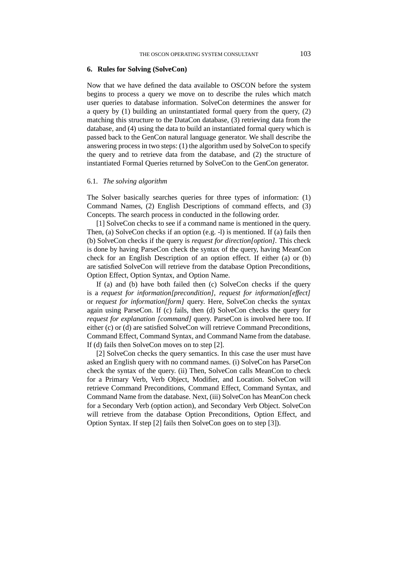## **6. Rules for Solving (SolveCon)**

Now that we have defined the data available to OSCON before the system begins to process a query we move on to describe the rules which match user queries to database information. SolveCon determines the answer for a query by (1) building an uninstantiated formal query from the query, (2) matching this structure to the DataCon database, (3) retrieving data from the database, and (4) using the data to build an instantiated formal query which is passed back to the GenCon natural language generator. We shall describe the answering process in two steps: (1) the algorithm used by SolveCon to specify the query and to retrieve data from the database, and (2) the structure of instantiated Formal Queries returned by SolveCon to the GenCon generator.

#### 6.1. *The solving algorithm*

The Solver basically searches queries for three types of information: (1) Command Names, (2) English Descriptions of command effects, and (3) Concepts. The search process in conducted in the following order.

[1] SolveCon checks to see if a command name is mentioned in the query. Then, (a) SolveCon checks if an option (e.g. -l) is mentioned. If (a) fails then (b) SolveCon checks if the query is *request for direction[option]*. This check is done by having ParseCon check the syntax of the query, having MeanCon check for an English Description of an option effect. If either (a) or (b) are satisfied SolveCon will retrieve from the database Option Preconditions, Option Effect, Option Syntax, and Option Name.

If (a) and (b) have both failed then (c) SolveCon checks if the query is a *request for information[precondition]*, *request for information[effect]* or *request for information[form]* query. Here, SolveCon checks the syntax again using ParseCon. If (c) fails, then (d) SolveCon checks the query for *request for explanation [command]* query. ParseCon is involved here too. If either (c) or (d) are satisfied SolveCon will retrieve Command Preconditions, Command Effect, Command Syntax, and Command Name from the database. If (d) fails then SolveCon moves on to step [2].

[2] SolveCon checks the query semantics. In this case the user must have asked an English query with no command names. (i) SolveCon has ParseCon check the syntax of the query. (ii) Then, SolveCon calls MeanCon to check for a Primary Verb, Verb Object, Modifier, and Location. SolveCon will retrieve Command Preconditions, Command Effect, Command Syntax, and Command Name from the database. Next, (iii) SolveCon has MeanCon check for a Secondary Verb (option action), and Secondary Verb Object. SolveCon will retrieve from the database Option Preconditions, Option Effect, and Option Syntax. If step [2] fails then SolveCon goes on to step [3]).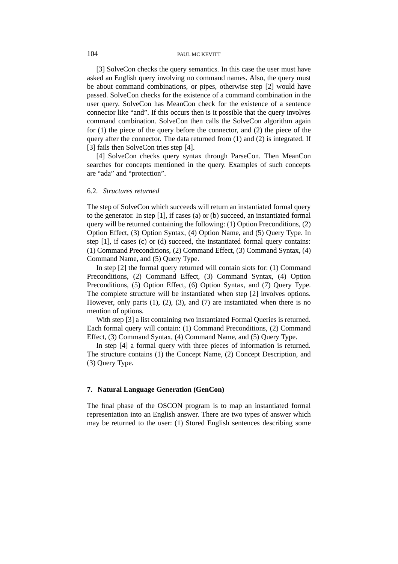[3] SolveCon checks the query semantics. In this case the user must have asked an English query involving no command names. Also, the query must be about command combinations, or pipes, otherwise step [2] would have passed. SolveCon checks for the existence of a command combination in the user query. SolveCon has MeanCon check for the existence of a sentence connector like "and". If this occurs then is it possible that the query involves command combination. SolveCon then calls the SolveCon algorithm again for (1) the piece of the query before the connector, and (2) the piece of the query after the connector. The data returned from (1) and (2) is integrated. If [3] fails then SolveCon tries step [4].

[4] SolveCon checks query syntax through ParseCon. Then MeanCon searches for concepts mentioned in the query. Examples of such concepts are "ada" and "protection".

#### 6.2. *Structures returned*

The step of SolveCon which succeeds will return an instantiated formal query to the generator. In step [1], if cases (a) or (b) succeed, an instantiated formal query will be returned containing the following: (1) Option Preconditions, (2) Option Effect, (3) Option Syntax, (4) Option Name, and (5) Query Type. In step [1], if cases (c) or (d) succeed, the instantiated formal query contains: (1) Command Preconditions, (2) Command Effect, (3) Command Syntax, (4) Command Name, and (5) Query Type.

In step [2] the formal query returned will contain slots for: (1) Command Preconditions, (2) Command Effect, (3) Command Syntax, (4) Option Preconditions, (5) Option Effect, (6) Option Syntax, and (7) Query Type. The complete structure will be instantiated when step [2] involves options. However, only parts  $(1)$ ,  $(2)$ ,  $(3)$ , and  $(7)$  are instantiated when there is no mention of options.

With step [3] a list containing two instantiated Formal Queries is returned. Each formal query will contain: (1) Command Preconditions, (2) Command Effect, (3) Command Syntax, (4) Command Name, and (5) Query Type.

In step [4] a formal query with three pieces of information is returned. The structure contains (1) the Concept Name, (2) Concept Description, and (3) Query Type.

## **7. Natural Language Generation (GenCon)**

The final phase of the OSCON program is to map an instantiated formal representation into an English answer. There are two types of answer which may be returned to the user: (1) Stored English sentences describing some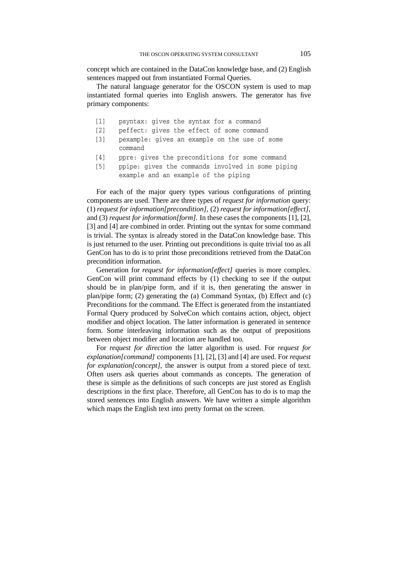concept which are contained in the DataCon knowledge base, and (2) English sentences mapped out from instantiated Formal Queries.

The natural language generator for the OSCON system is used to map instantiated formal queries into English answers. The generator has five primary components:

- [1] psyntax: gives the syntax for a command
- [2] peffect: gives the effect of some command
- [3] pexample: gives an example on the use of some command
- [4] ppre: gives the preconditions for some command
- [5] ppipe: gives the commands involved in some piping example and an example of the piping

For each of the major query types various configurations of printing components are used. There are three types of *request for information* query: (1) *request for information[precondition]*, (2) *request for information[effect]*, and (3) *request for information[form]*. In these cases the components [1], [2], [3] and [4] are combined in order. Printing out the syntax for some command is trivial. The syntax is already stored in the DataCon knowledge base. This is just returned to the user. Printing out preconditions is quite trivial too as all GenCon has to do is to print those preconditions retrieved from the DataCon precondition information.

Generation for *request for information[effect]* queries is more complex. GenCon will print command effects by (1) checking to see if the output should be in plan/pipe form, and if it is, then generating the answer in plan/pipe form; (2) generating the (a) Command Syntax, (b) Effect and (c) Preconditions for the command. The Effect is generated from the instantiated Formal Query produced by SolveCon which contains action, object, object modifier and object location. The latter information is generated in sentence form. Some interleaving information such as the output of prepositions between object modifier and location are handled too.

For *request for direction* the latter algorithm is used. For *request for explanation[command]* components [1], [2], [3] and [4] are used. For *request for explanation[concept]*, the answer is output from a stored piece of text. Often users ask queries about commands as concepts. The generation of these is simple as the definitions of such concepts are just stored as English descriptions in the first place. Therefore, all GenCon has to do is to map the stored sentences into English answers. We have written a simple algorithm which maps the English text into pretty format on the screen.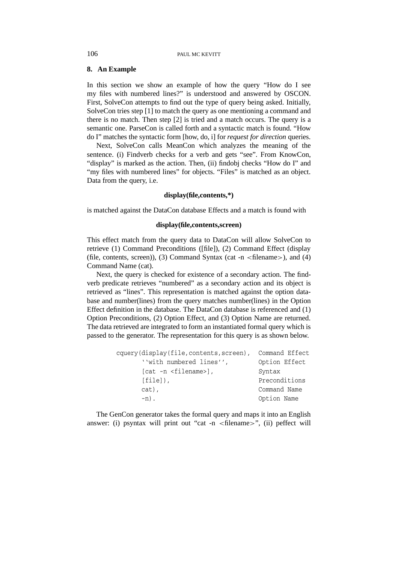#### **8. An Example**

In this section we show an example of how the query "How do I see my files with numbered lines?" is understood and answered by OSCON. First, SolveCon attempts to find out the type of query being asked. Initially, SolveCon tries step [1] to match the query as one mentioning a command and there is no match. Then step [2] is tried and a match occurs. The query is a semantic one. ParseCon is called forth and a syntactic match is found. "How do I" matches the syntactic form [how, do, i] for *request for direction* queries.

Next, SolveCon calls MeanCon which analyzes the meaning of the sentence. (i) Findverb checks for a verb and gets "see". From KnowCon, "display" is marked as the action. Then, (ii) findobj checks "How do I" and "my files with numbered lines" for objects. "Files" is matched as an object. Data from the query, *i.e.* 

## **display(file,contents,\*)**

is matched against the DataCon database Effects and a match is found with

## **display(file,contents,screen)**

This effect match from the query data to DataCon will allow SolveCon to retrieve (1) Command Preconditions ([file]), (2) Command Effect (display (file, contents, screen)), (3) Command Syntax (cat -n *<*filename*>*), and (4) Command Name (cat).

Next, the query is checked for existence of a secondary action. The findverb predicate retrieves "numbered" as a secondary action and its object is retrieved as "lines". This representation is matched against the option database and number(lines) from the query matches number(lines) in the Option Effect definition in the database. The DataCon database is referenced and (1) Option Preconditions, (2) Option Effect, and (3) Option Name are returned. The data retrieved are integrated to form an instantiated formal query which is passed to the generator. The representation for this query is as shown below.

| cquery(display(file,contents,screen), | Command Effect |
|---------------------------------------|----------------|
| "with numbered lines",                | Option Effect  |
| $[cat -n < fil$                       | Syntax         |
| $[file]$ ,                            | Preconditions  |
| cat),                                 | Command Name   |
| $-n)$ .                               | Option Name    |
|                                       |                |

The GenCon generator takes the formal query and maps it into an English answer: (i) psyntax will print out "cat -n *<*filename*>*", (ii) peffect will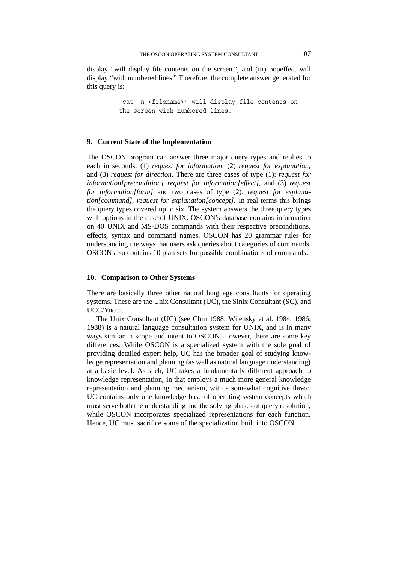display "will display file contents on the screen.", and (iii) popeffect will display "with numbered lines." Therefore, the complete answer generated for this query is:

> 'cat -n <filename>' will display file contents on the screen with numbered lines.

### **9. Current State of the Implementation**

The OSCON program can answer three major query types and replies to each in seconds: (1) *request for information*, (2) *request for explanation*, and (3) *request for direction*. There are three cases of type (1): *request for information[precondition] request for information[effect]*, and (3) *request for information[form]* and two cases of type (2): *request for explanation[command]*, *request for explanation[concept]*. In real terms this brings the query types covered up to six. The system answers the three query types with options in the case of UNIX. OSCON's database contains information on 40 UNIX and MS-DOS commands with their respective preconditions, effects, syntax and command names. OSCON has 20 grammar rules for understanding the ways that users ask queries about categories of commands. OSCON also contains 10 plan sets for possible combinations of commands.

## **10. Comparison to Other Systems**

There are basically three other natural language consultants for operating systems. These are the Unix Consultant (UC), the Sinix Consultant (SC), and UCC/Yucca.

The Unix Consultant (UC) (see Chin 1988; Wilensky et al. 1984, 1986, 1988) is a natural language consultation system for UNIX, and is in many ways similar in scope and intent to OSCON. However, there are some key differences. While OSCON is a specialized system with the sole goal of providing detailed expert help, UC has the broader goal of studying knowledge representation and planning (as well as natural language understanding) at a basic level. As such, UC takes a fundamentally different approach to knowledge representation, in that employs a much more general knowledge representation and planning mechanism, with a somewhat cognitive flavor. UC contains only one knowledge base of operating system concepts which must serve both the understanding and the solving phases of query resolution, while OSCON incorporates specialized representations for each function. Hence, UC must sacrifice some of the specialization built into OSCON.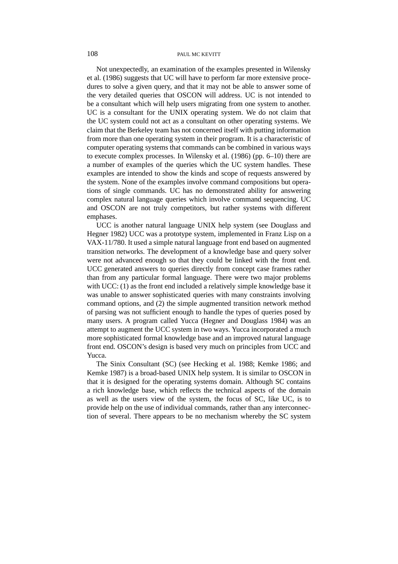Not unexpectedly, an examination of the examples presented in Wilensky et al. (1986) suggests that UC will have to perform far more extensive procedures to solve a given query, and that it may not be able to answer some of the very detailed queries that OSCON will address. UC is not intended to be a consultant which will help users migrating from one system to another. UC is a consultant for the UNIX operating system. We do not claim that the UC system could not act as a consultant on other operating systems. We claim that the Berkeley team has not concerned itself with putting information from more than one operating system in their program. It is a characteristic of computer operating systems that commands can be combined in various ways to execute complex processes. In Wilensky et al. (1986) (pp. 6–10) there are a number of examples of the queries which the UC system handles. These examples are intended to show the kinds and scope of requests answered by the system. None of the examples involve command compositions but operations of single commands. UC has no demonstrated ability for answering complex natural language queries which involve command sequencing. UC and OSCON are not truly competitors, but rather systems with different emphases.

UCC is another natural language UNIX help system (see Douglass and Hegner 1982) UCC was a prototype system, implemented in Franz Lisp on a VAX-11/780. It used a simple natural language front end based on augmented transition networks. The development of a knowledge base and query solver were not advanced enough so that they could be linked with the front end. UCC generated answers to queries directly from concept case frames rather than from any particular formal language. There were two major problems with UCC: (1) as the front end included a relatively simple knowledge base it was unable to answer sophisticated queries with many constraints involving command options, and (2) the simple augmented transition network method of parsing was not sufficient enough to handle the types of queries posed by many users. A program called Yucca (Hegner and Douglass 1984) was an attempt to augment the UCC system in two ways. Yucca incorporated a much more sophisticated formal knowledge base and an improved natural language front end. OSCON's design is based very much on principles from UCC and Yucca.

The Sinix Consultant (SC) (see Hecking et al. 1988; Kemke 1986; and Kemke 1987) is a broad-based UNIX help system. It is similar to OSCON in that it is designed for the operating systems domain. Although SC contains a rich knowledge base, which reflects the technical aspects of the domain as well as the users view of the system, the focus of SC, like UC, is to provide help on the use of individual commands, rather than any interconnection of several. There appears to be no mechanism whereby the SC system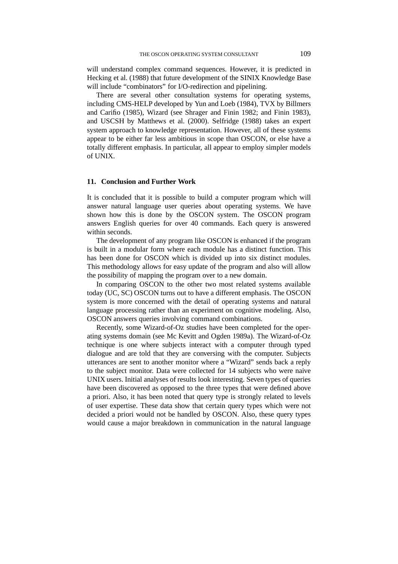will understand complex command sequences. However, it is predicted in Hecking et al. (1988) that future development of the SINIX Knowledge Base will include "combinators" for I/O-redirection and pipelining.

There are several other consultation systems for operating systems, including CMS-HELP developed by Yun and Loeb (1984), TVX by Billmers and Carifio (1985), Wizard (see Shrager and Finin 1982; and Finin 1983), and USCSH by Matthews et al. (2000). Selfridge (1988) takes an expert system approach to knowledge representation. However, all of these systems appear to be either far less ambitious in scope than OSCON, or else have a totally different emphasis. In particular, all appear to employ simpler models of UNIX.

#### **11. Conclusion and Further Work**

It is concluded that it is possible to build a computer program which will answer natural language user queries about operating systems. We have shown how this is done by the OSCON system. The OSCON program answers English queries for over 40 commands. Each query is answered within seconds.

The development of any program like OSCON is enhanced if the program is built in a modular form where each module has a distinct function. This has been done for OSCON which is divided up into six distinct modules. This methodology allows for easy update of the program and also will allow the possibility of mapping the program over to a new domain.

In comparing OSCON to the other two most related systems available today (UC, SC) OSCON turns out to have a different emphasis. The OSCON system is more concerned with the detail of operating systems and natural language processing rather than an experiment on cognitive modeling. Also, OSCON answers queries involving command combinations.

Recently, some Wizard-of-Oz studies have been completed for the operating systems domain (see Mc Kevitt and Ogden 1989a). The Wizard-of-Oz technique is one where subjects interact with a computer through typed dialogue and are told that they are conversing with the computer. Subjects utterances are sent to another monitor where a "Wizard" sends back a reply to the subject monitor. Data were collected for 14 subjects who were naive UNIX users. Initial analyses of results look interesting. Seven types of queries have been discovered as opposed to the three types that were defined above a priori. Also, it has been noted that query type is strongly related to levels of user expertise. These data show that certain query types which were not decided a priori would not be handled by OSCON. Also, these query types would cause a major breakdown in communication in the natural language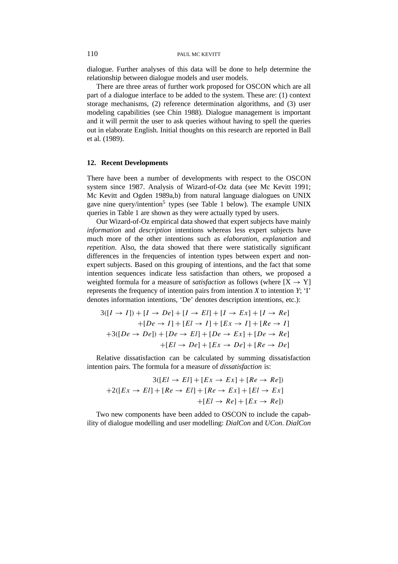dialogue. Further analyses of this data will be done to help determine the relationship between dialogue models and user models.

There are three areas of further work proposed for OSCON which are all part of a dialogue interface to be added to the system. These are: (1) context storage mechanisms, (2) reference determination algorithms, and (3) user modeling capabilities (see Chin 1988). Dialogue management is important and it will permit the user to ask queries without having to spell the queries out in elaborate English. Initial thoughts on this research are reported in Ball et al. (1989).

#### **12. Recent Developments**

There have been a number of developments with respect to the OSCON system since 1987. Analysis of Wizard-of-Oz data (see Mc Kevitt 1991; Mc Kevitt and Ogden 1989a,b) from natural language dialogues on UNIX gave nine query/intention<sup>5</sup> types (see Table 1 below). The example UNIX queries in Table 1 are shown as they were actually typed by users.

Our Wizard-of-Oz empirical data showed that expert subjects have mainly *information* and *description* intentions whereas less expert subjects have much more of the other intentions such as *elaboration*, *explanation* and *repetition*. Also, the data showed that there were statistically significant differences in the frequencies of intention types between expert and nonexpert subjects. Based on this grouping of intentions, and the fact that some intention sequences indicate less satisfaction than others, we proposed a weighted formula for a measure of *satisfaction* as follows (where  $[X \rightarrow Y]$ represents the frequency of intention pairs from intention *X* to intention *Y*; 'I' denotes information intentions, 'De' denotes description intentions, etc.):

$$
3([I \rightarrow I]) + [I \rightarrow De] + [I \rightarrow El] + [I \rightarrow Ex] + [I \rightarrow Re]
$$
  
+[De \rightarrow I] + [El \rightarrow I] + [Ex \rightarrow I] + [Re \rightarrow I]  
+3([De \rightarrow De]) + [De \rightarrow El] + [De \rightarrow Ex] + [De \rightarrow Re]  
+[El \rightarrow De] + [Ex \rightarrow De] + [Re \rightarrow De]

Relative dissatisfaction can be calculated by summing dissatisfaction intention pairs. The formula for a measure of *dissatisfaction* is:

$$
3([El \rightarrow El] + [Ex \rightarrow Ex] + [Re \rightarrow Re])
$$
  
+2([Ex \rightarrow El] + [Re \rightarrow El] + [Re \rightarrow Ex] + [El \rightarrow Ex]   
+[El \rightarrow Re] + [Ex \rightarrow Re])

Two new components have been added to OSCON to include the capability of dialogue modelling and user modelling: *DialCon* and *UCon*. *DialCon*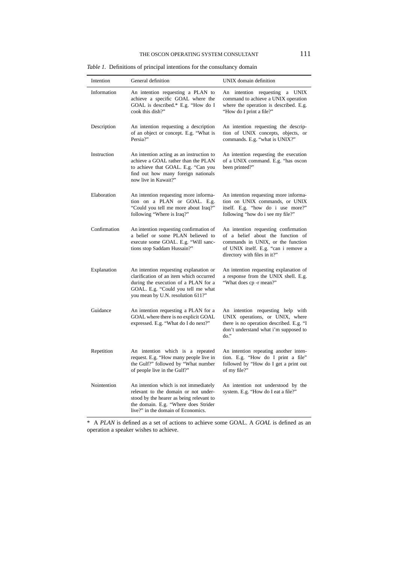| Intention    | General definition                                                                                                                                                                                      | UNIX domain definition                                                                                                                                                                 |
|--------------|---------------------------------------------------------------------------------------------------------------------------------------------------------------------------------------------------------|----------------------------------------------------------------------------------------------------------------------------------------------------------------------------------------|
| Information  | An intention requesting a PLAN to<br>achieve a specific GOAL where the<br>GOAL is described.* E.g. "How do I<br>cook this dish?"                                                                        | intention<br>requesting<br>a UNIX<br>An<br>command to achieve a UNIX operation<br>where the operation is described. E.g.<br>"How do I print a file?"                                   |
| Description  | An intention requesting a description<br>of an object or concept. E.g. "What is<br>Persia?"                                                                                                             | An intention requesting the descrip-<br>tion of UNIX concepts, objects, or<br>commands. E.g. "what is UNIX?"                                                                           |
| Instruction  | An intention acting as an instruction to<br>achieve a GOAL rather than the PLAN<br>to achieve that GOAL. E.g. "Can you<br>find out how many foreign nationals<br>now live in Kuwait?"                   | An intention requesting the execution<br>of a UNIX command. E.g. "has oscon<br>been printed?"                                                                                          |
| Elaboration  | An intention requesting more informa-<br>tion on a PLAN or GOAL. E.g.<br>"Could you tell me more about Iraq?"<br>following "Where is Iraq?"                                                             | An intention requesting more informa-<br>tion on UNIX commands, or UNIX<br>itself. E.g. "how do i use more?"<br>following "how do i see my file?"                                      |
| Confirmation | An intention requesting confirmation of<br>a belief or some PLAN believed to<br>execute some GOAL. E.g. "Will sanc-<br>tions stop Saddam Hussain?"                                                      | An intention requesting confirmation<br>of a belief about the function of<br>commands in UNIX, or the function<br>of UNIX itself. E.g. "can i remove a<br>directory with files in it?" |
| Explanation  | An intention requesting explanation or<br>clarification of an item which occurred<br>during the execution of a PLAN for a<br>GOAL. E.g. "Could you tell me what<br>you mean by U.N. resolution 611?"    | An intention requesting explanation of<br>a response from the UNIX shell. E.g.<br>"What does cp -r mean?"                                                                              |
| Guidance     | An intention requesting a PLAN for a<br>GOAL where there is no explicit GOAL<br>expressed. E.g. "What do I do next?"                                                                                    | An intention requesting help with<br>UNIX operations, or UNIX, where<br>there is no operation described. E.g. "I<br>don't understand what i'm supposed to<br>$d\alpha$ ."              |
| Repetition   | An intention which is a repeated<br>request. E.g. "How many people live in<br>the Gulf?" followed by "What number<br>of people live in the Gulf?"                                                       | An intention repeating another inten-<br>tion. E.g. "How do I print a file"<br>followed by "How do I get a print out<br>of my file?"                                                   |
| Nointention  | An intention which is not immediately<br>relevant to the domain or not under-<br>stood by the hearer as being relevant to<br>the domain. E.g. "Where does Strider<br>live?" in the domain of Economics. | An intention not understood by the<br>system. E.g. "How do I eat a file?"                                                                                                              |

*Table 1.* Definitions of principal intentions for the consultancy domain

\* A *PLAN* is defined as a set of actions to achieve some GOAL. A *GOAL* is defined as an operation a speaker wishes to achieve.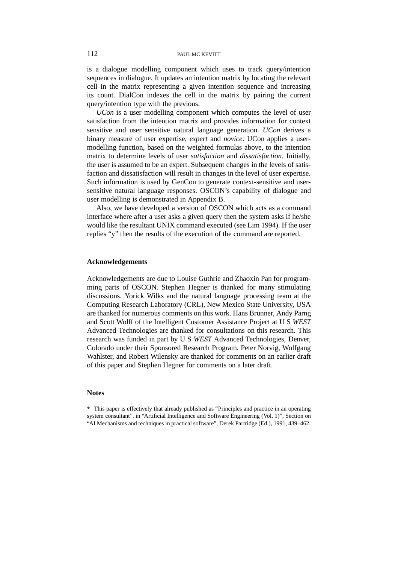is a dialogue modelling component which uses to track query/intention sequences in dialogue. It updates an intention matrix by locating the relevant cell in the matrix representing a given intention sequence and increasing its count. DialCon indexes the cell in the matrix by pairing the current query/intention type with the previous.

*UCon* is a user modelling component which computes the level of user satisfaction from the intention matrix and provides information for context sensitive and user sensitive natural language generation. *UCon* derives a binary measure of user expertise, *expert* and *novice*. UCon applies a usermodelling function, based on the weighted formulas above, to the intention matrix to determine levels of user *satisfaction* and *dissatisfaction*. Initially, the user is assumed to be an expert. Subsequent changes in the levels of satisfaction and dissatisfaction will result in changes in the level of user expertise. Such information is used by GenCon to generate context-sensitive and usersensitive natural language responses. OSCON's capability of dialogue and user modelling is demonstrated in Appendix B.

Also, we have developed a version of OSCON which acts as a command interface where after a user asks a given query then the system asks if he/she would like the resultant UNIX command executed (see Lim 1994). If the user replies "y" then the results of the execution of the command are reported.

# **Acknowledgements**

Acknowledgements are due to Louise Guthrie and Zhaoxin Pan for programming parts of OSCON. Stephen Hegner is thanked for many stimulating discussions. Yorick Wilks and the natural language processing team at the Computing Research Laboratory (CRL), New Mexico State University, USA are thanked for numerous comments on this work. Hans Brunner, Andy Parng and Scott Wolff of the Intelligent Customer Assistance Project at U S *WEST* Advanced Technologies are thanked for consultations on this research. This research was funded in part by U S *WEST* Advanced Technologies, Denver, Colorado under their Sponsored Research Program. Peter Norvig, Wolfgang Wahlster, and Robert Wilensky are thanked for comments on an earlier draft of this paper and Stephen Hegner for comments on a later draft.

#### **Notes**

<sup>\*</sup> This paper is effectively that already published as "Principles and practice in an operating system consultant", in "Artificial Intelligence and Software Engineering (Vol. 1)", Section on "AI Mechanisms and techniques in practical software", Derek Partridge (Ed.), 1991, 439–462.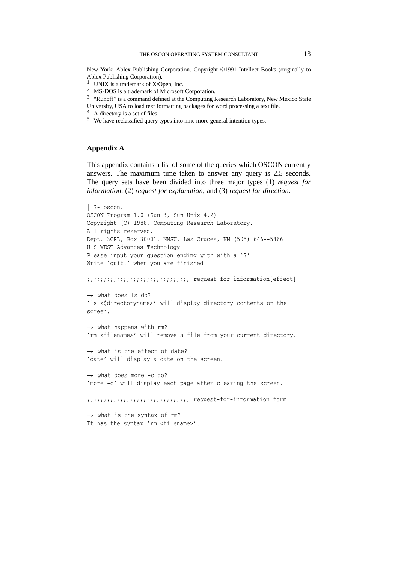New York: Ablex Publishing Corporation. Copyright ©1991 Intellect Books (originally to Ablex Publishing Corporation).

- <sup>1</sup> UNIX is a trademark of X/Open, Inc.
- <sup>2</sup> MS-DOS is a trademark of Microsoft Corporation.
- <sup>3</sup> "Runoff" is a command defined at the Computing Research Laboratory, New Mexico State
- University, USA to load text formatting packages for word processing a text file.
- $4$  A directory is a set of files.
- <sup>5</sup> We have reclassified query types into nine more general intention types.

#### **Appendix A**

This appendix contains a list of some of the queries which OSCON currently answers. The maximum time taken to answer any query is 2.5 seconds. The query sets have been divided into three major types (1) *request for information*, (2) *request for explanation*, and (3) *request for direction*.

```
| ?- oscon.
OSCON Program 1.0 (Sun-3, Sun Unix 4.2)
Copyright (C) 1988, Computing Research Laboratory.
All rights reserved.
Dept. 3CRL, Box 30001, NMSU, Las Cruces, NM (505) 646--5466
U S WEST Advances Technology
Please input your question ending with with a '?'
Write 'quit.' when you are finished
;;;;;;;;;;;;;;;;;;;;;;;;;;;;;;; request-for-information[effect]
\rightarrow what does 1s do?
'ls <$directoryname>' will display directory contents on the
screen.
\rightarrow what happens with rm?
'rm <filename>' will remove a file from your current directory.
\rightarrow what is the effect of date?
'date' will display a date on the screen.
\rightarrow what does more -c do?
'more -c' will display each page after clearing the screen.
;;;;;;;;;;;;;;;;;;;;;;;;;;;;;;; request-for-information[form]
```
 $\rightarrow$  what is the syntax of rm? It has the syntax 'rm <filename>'.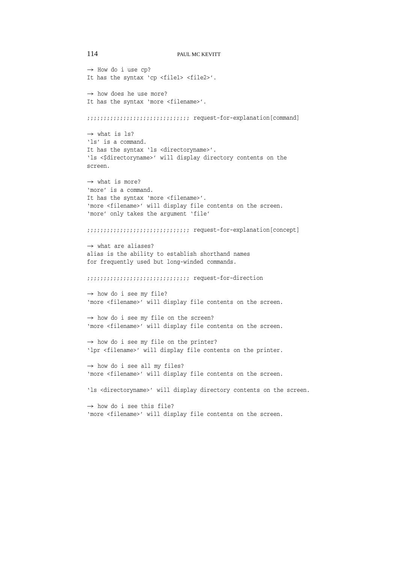```
114 PAUL MC KEVITT
```
 $\rightarrow$  How do i use cp? It has the syntax 'cp <file1> <file2>'.  $\rightarrow$  how does he use more? It has the syntax 'more <filename>'. ;;;;;;;;;;;;;;;;;;;;;;;;;;;;;;; request-for-explanation[command]  $\rightarrow$  what is 1s? 'ls' is a command. It has the syntax 'ls <directoryname>'. 'ls <\$directoryname>' will display directory contents on the screen.  $\rightarrow$  what is more? 'more' is a command. It has the syntax 'more <filename>'. 'more <filename>' will display file contents on the screen. 'more' only takes the argument 'file' ;;;;;;;;;;;;;;;;;;;;;;;;;;;;;;; request-for-explanation[concept]  $\rightarrow$  what are aliases? alias is the ability to establish shorthand names for frequently used but long-winded commands. ;;;;;;;;;;;;;;;;;;;;;;;;;;;;;;; request-for-direction  $\rightarrow$  how do i see my file? 'more <filename>' will display file contents on the screen.  $\rightarrow$  how do i see my file on the screen? 'more <filename>' will display file contents on the screen.  $\rightarrow$  how do i see my file on the printer? 'lpr <filename>' will display file contents on the printer.  $\rightarrow$  how do i see all my files? 'more <filename>' will display file contents on the screen. 'ls <directoryname>' will display directory contents on the screen.  $\rightarrow$  how do i see this file? 'more <filename>' will display file contents on the screen.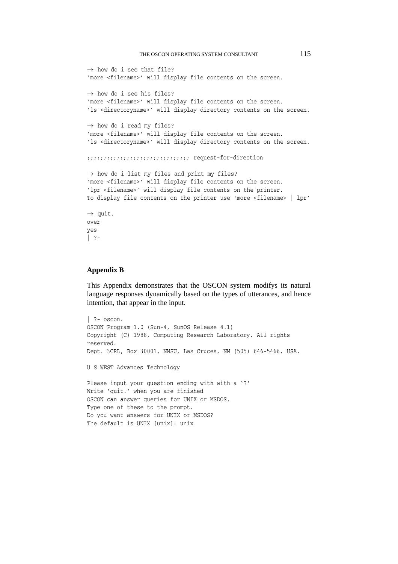```
\rightarrow how do i see that file?
'more <filename>' will display file contents on the screen.
\rightarrow how do i see his files?
'more <filename>' will display file contents on the screen.
'ls <directoryname>' will display directory contents on the screen.
\rightarrow how do i read my files?
'more <filename>' will display file contents on the screen.
'ls <directoryname>' will display directory contents on the screen.
;;;;;;;;;;;;;;;;;;;;;;;;;;;;;;; request-for-direction
\rightarrow how do i list my files and print my files?
'more <filename>' will display file contents on the screen.
'lpr <filename>' will display file contents on the printer.
To display file contents on the printer use 'more <filename> | lpr'
\rightarrow quit.
over
yes
| ?-
```
## **Appendix B**

This Appendix demonstrates that the OSCON system modifys its natural language responses dynamically based on the types of utterances, and hence intention, that appear in the input.

```
| ?- oscon.
OSCON Program 1.0 (Sun-4, SunOS Release 4.1)
Copyright (C) 1988, Computing Research Laboratory. All rights
reserved.
Dept. 3CRL, Box 30001, NMSU, Las Cruces, NM (505) 646-5466, USA.
U S WEST Advances Technology
Please input your question ending with with a '?'
Write 'quit.' when you are finished
OSCON can answer queries for UNIX or MSDOS.
Type one of these to the prompt.
Do you want answers for UNIX or MSDOS?
The default is UNIX [unix]: unix
```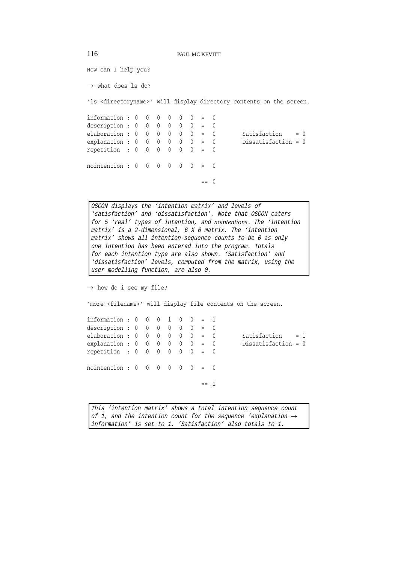```
116 PAUL MC KEVITT
```
How can I help you?  $\rightarrow$  what does 1s do? 'ls <directoryname>' will display directory contents on the screen. information :  $0 \t 0 \t 0 \t 0 \t 0 = 0$ description :  $0 \t 0 \t 0 \t 0 \t 0 = 0$ elaboration :  $0 \t0 \t0 \t0 \t0 = 0$  Satisfaction = 0 explanation :  $0 \t 0 \t 0 \t 0 \t 0 = 0$  Dissatisfaction = 0 repetition :  $0 \t 0 \t 0 \t 0 \t 0 = 0$  $nointention: 0 0 0 0 0 = 0$  $== 0$ 

OSCON displays the 'intention matrix' and levels of 'satisfaction' and 'dissatisfaction'. Note that OSCON caters for <sup>5</sup> 'real' types of intention, and *nointentions*. The 'intention matrix' is <sup>a</sup> 2-dimensional, 6 X 6 matrix. The 'intention matrix' shows all intention-sequence counts to be 0 as only one intention has been entered into the program. Totals for each intention type are also shown. 'Satisfaction' and 'dissatisfaction' levels, computed from the matrix, using the user modelling function, are also 0.

 $\rightarrow$  how do i see my file?

'more <filename>' will display file contents on the screen.

 $information: 0 0 0 1 0 0 = 1$ description :  $0 \t 0 \t 0 \t 0 \t 0 = 0$ elaboration :  $0 \t 0 \t 0 \t 0 \t 0 = 0$  Satisfaction = 1 explanation :  $0 \t 0 \t 0 \t 0 \t 0 = 0$  Dissatisfaction = 0 repetition :  $0 \t 0 \t 0 \t 0 \t 0 = 0$  $notention : 0 0 0 0 0 0 = 0$  $== 1$ 

This 'intention matrix' shows <sup>a</sup> total intention sequence count of 1, and the intention count for the sequence 'explanation  $\rightarrow$ information' is set to 1. 'Satisfaction' also totals to 1.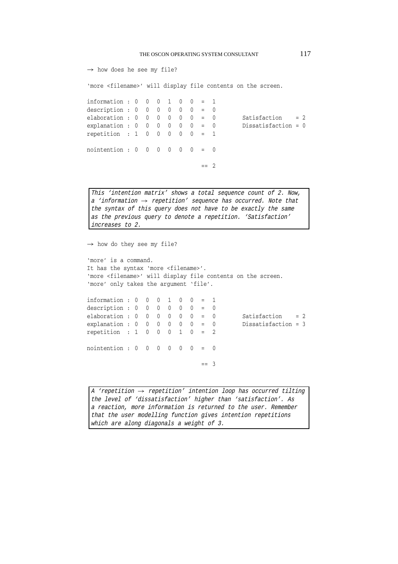```
\rightarrow how does he see my file?
'more <filename>' will display file contents on the screen.
information: 0 0 0 1 0 0 = 1description : 0 \t 0 \t 0 \t 0 \t 0 = 0elaboration : 0 \t 0 \t 0 \t 0 \t 0 = 0 Satisfaction = 2
explanation : 0 \t 0 \t 0 \t 0 \t 0 = 0 Dissatisfaction = 0
repetition : 1 \t0 \t0 \t0 \t0 = 1nointention: 0 0 0 0 0 = 0== 2This 'intention matrix' shows a total sequence count of 2. Now,
 a 'information \rightarrow repetition' sequence has occurred. Note that
 the syntax of this query does not have to be exactly the same
 as the previous query to denote a repetition. 'Satisfaction'
 increases to 2.
\rightarrow how do they see my file?
'more' is a command.
It has the syntax 'more <filename>'.
'more <filename>' will display file contents on the screen.
'more' only takes the argument 'file'.
information: 0 0 0 1 0 0 = 1description : 0 \t 0 \t 0 \t 0 \t 0 = 0elaboration : 0 \t 0 \t 0 \t 0 \t 0 = 0 Satisfaction = 2
explanation : 0 \t 0 \t 0 \t 0 \t 0 = 0 Dissatisfaction = 3
repetition : 1 \t0 \t0 \t1 \t0 = 2notention: 0 0 0 0 0 0 = 0== 3
```
A 'repetition  $\rightarrow$  repetition' intention loop has occurred tilting the level of 'dissatisfaction' higher than 'satisfaction'. As <sup>a</sup> reaction, more information is returned to the user. Remember that the user modelling function gives intention repetitions which are along diagonals <sup>a</sup> weight of 3.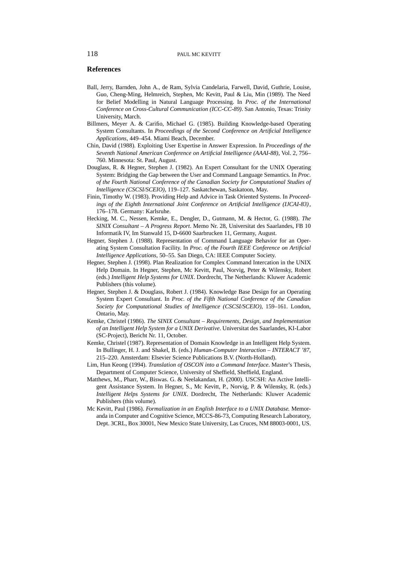#### **References**

- Ball, Jerry, Barnden, John A., de Ram, Sylvia Candelaria, Farwell, David, Guthrie, Louise, Guo, Cheng-Ming, Helmreich, Stephen, Mc Kevitt, Paul & Liu, Min (1989). The Need for Belief Modelling in Natural Language Processing. In *Proc. of the International Conference on Cross-Cultural Communication (ICC-CC-89)*. San Antonio, Texas: Trinity University, March.
- Billmers, Meyer A. & Carifio, Michael G. (1985). Building Knowledge-based Operating System Consultants. In *Proceedings of the Second Conference on Artificial Intelligence Applications*, 449–454. Miami Beach, December.
- Chin, David (1988). Exploiting User Expertise in Answer Expression. In *Proceedings of the Seventh National American Conference on Artificial Intelligence (AAAI-88)*, Vol. 2, 756– 760. Minnesota: St. Paul, August.
- Douglass, R. & Hegner, Stephen J. (1982). An Expert Consultant for the UNIX Operating System: Bridging the Gap between the User and Command Language Semantics. In *Proc. of the Fourth National Conference of the Canadian Society for Computational Studies of Intelligence (CSCSI/SCEIO)*, 119–127. Saskatchewan, Saskatoon, May.
- Finin, Timothy W. (1983). Providing Help and Advice in Task Oriented Systems. In *Proceedings of the Eighth International Joint Conference on Artificial Intelligence (IJCAI-83)*, 176–178. Germany: Karlsruhe.
- Hecking, M. C., Nessen, Kemke, E., Dengler, D., Gutmann, M. & Hector, G. (1988). *The SINIX Consultant – A Progress Report*. Memo Nr. 28, Universitat des Saarlandes, FB 10 Informatik IV, Im Stanwald 15, D-6600 Saarbrucken 11, Germany, August.
- Hegner, Stephen J. (1988). Representation of Command Language Behavior for an Operating System Consultation Facility. In *Proc. of the Fourth IEEE Conference on Artificial Intelligence Applications*, 50–55. San Diego, CA: IEEE Computer Society.
- Hegner, Stephen J. (1998). Plan Realization for Complex Command Intercation in the UNIX Help Domain. In Hegner, Stephen, Mc Kevitt, Paul, Norvig, Peter & Wilensky, Robert (eds.) *Intelligent Help Systems for UNIX*. Dordrecht, The Netherlands: Kluwer Academic Publishers (this volume).
- Hegner, Stephen J. & Douglass, Robert J. (1984). Knowledge Base Design for an Operating System Expert Consultant. In *Proc. of the Fifth National Conference of the Canadian Society for Computational Studies of Intelligence (CSCSI/SCEIO)*, 159–161. London, Ontario, May.
- Kemke, Christel (1986). *The SINIX Consultant Requirements, Design, and Implementation of an Intelligent Help System for a UNIX Derivative*. Universitat des Saarlandes, KI-Labor (SC-Project), Bericht Nr. 11, October.
- Kemke, Christel (1987). Representation of Domain Knowledge in an Intelligent Help System. In Bullinger, H. J. and Shakel, B. (eds.) *Human-Computer Interaction – INTERACT '87*, 215–220. Amsterdam: Elsevier Science Publications B.V. (North-Holland).
- Lim, Hun Keong (1994). *Translation of OSCON into a Command Interface*. Master's Thesis, Department of Computer Science, University of Sheffield, Sheffield, England.
- Matthews, M., Pharr, W., Biswas. G. & Neelakandan, H. (2000). USCSH: An Active Intelligent Assistance System. In Hegner, S., Mc Kevitt, P., Norvig, P. & Wilensky, R. (eds.) *Intelligent Helps Systems for UNIX*. Dordrecht, The Netherlands: Kluwer Academic Publishers (this volume).
- Mc Kevitt, Paul (1986). *Formalization in an English Interface to a UNIX Database*. Memoranda in Computer and Cognitive Science, MCCS-86-73, Computing Research Laboratory, Dept. 3CRL, Box 30001, New Mexico State University, Las Cruces, NM 88003-0001, US.